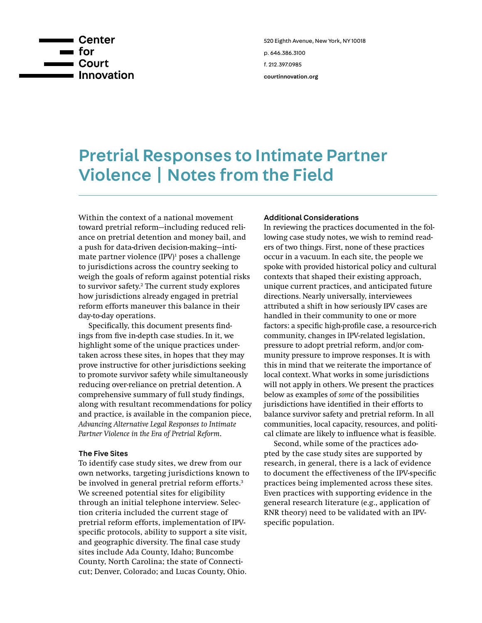

# Pretrial Responses to Intimate Partner Violence | Notes from the Field

Within the context of a national movement toward pretrial reform—including reduced reliance on pretrial detention and money bail, and a push for data-driven decision-making—intimate partner violence (IPV)<sup>1</sup> poses a challenge to jurisdictions across the country seeking to weigh the goals of reform against potential risks to survivor safety.<sup>2</sup> The current study explores how jurisdictions already engaged in pretrial reform efforts maneuver this balance in their day-to-day operations.

Specifically, this document presents findings from five in-depth case studies. In it, we highlight some of the unique practices undertaken across these sites, in hopes that they may prove instructive for other jurisdictions seeking to promote survivor safety while simultaneously reducing over-reliance on pretrial detention. A comprehensive summary of full study findings, along with resultant recommendations for policy and practice, is available in the companion piece, *Advancing Alternative Legal Responses to Intimate Partner Violence in the Era of Pretrial Reform*.

### The Five Sites

To identify case study sites, we drew from our own networks, targeting jurisdictions known to be involved in general pretrial reform efforts.<sup>3</sup> We screened potential sites for eligibility through an initial telephone interview. Selection criteria included the current stage of pretrial reform efforts, implementation of IPVspecific protocols, ability to support a site visit, and geographic diversity. The final case study sites include Ada County, Idaho; Buncombe County, North Carolina; the state of Connecticut; Denver, Colorado; and Lucas County, Ohio.

#### Additional Considerations

In reviewing the practices documented in the following case study notes, we wish to remind readers of two things. First, none of these practices occur in a vacuum. In each site, the people we spoke with provided historical policy and cultural contexts that shaped their existing approach, unique current practices, and anticipated future directions. Nearly universally, interviewees attributed a shift in how seriously IPV cases are handled in their community to one or more factors: a specific high-profile case, a resource-rich community, changes in IPV-related legislation, pressure to adopt pretrial reform, and/or community pressure to improve responses. It is with this in mind that we reiterate the importance of local context. What works in some jurisdictions will not apply in others. We present the practices below as examples of *some* of the possibilities jurisdictions have identified in their efforts to balance survivor safety and pretrial reform. In all communities, local capacity, resources, and political climate are likely to influence what is feasible.

Second, while some of the practices adopted by the case study sites are supported by research, in general, there is a lack of evidence to document the effectiveness of the IPV-specific practices being implemented across these sites. Even practices with supporting evidence in the general research literature (e.g., application of RNR theory) need to be validated with an IPVspecific population.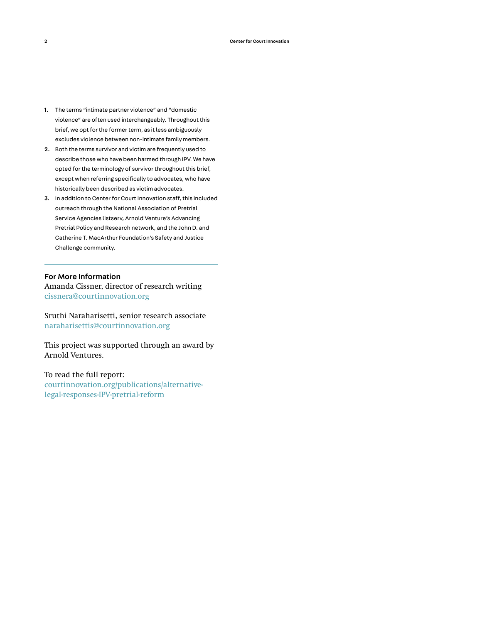- 1. The terms "intimate partner violence" and "domestic violence" are often used interchangeably. Throughout this brief, we opt for the former term, as it less ambiguously excludes violence between non-intimate family members.
- 2. Both the terms survivor and victim are frequently used to describe those who have been harmed through IPV. We have opted for the terminology of survivor throughout this brief, except when referring specifically to advocates, who have historically been described as victim advocates.
- 3. In addition to Center for Court Innovation staff, this included outreach through the National Association of Pretrial Service Agencies listserv, Arnold Venture's Advancing Pretrial Policy and Research network, and the John D. and Catherine T. MacArthur Foundation's Safety and Justice Challenge community.

## For More Information

Amanda Cissner, director of research writing [cissnera@courtinnovation.org](mailto:cissnera%40courtinnovation.org?subject=RE%3A%20AV%20IVP)

Sruthi Naraharisetti, senior research associate [naraharisettis@courtinnovation.org](mailto:naraharisettis%40courtinnovation.org?subject=RE%3A%20AV%20IVP)

This project was supported through an award by Arnold Ventures.

To read the full report: [courtinnovation.org/publications/alternative](http://courtinnovation.org/publications/alternative-legal-responses-IPV-pretrial-reform)[legal-responses-IPV-pretrial-reform](http://courtinnovation.org/publications/alternative-legal-responses-IPV-pretrial-reform)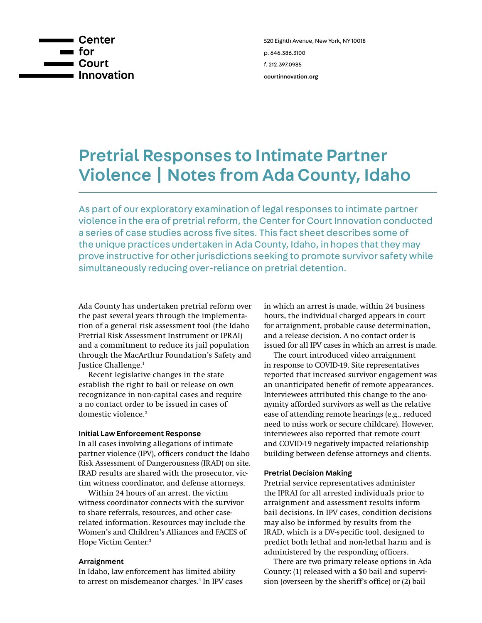

# Pretrial Responses to Intimate Partner Violence | Notes from Ada County, Idaho

As part of our exploratory examination of legal responses to intimate partner violence in the era of pretrial reform, the Center for Court Innovation conducted a series of case studies across five sites. This fact sheet describes some of the unique practices undertaken in Ada County, Idaho, in hopes that they may prove instructive for other jurisdictions seeking to promote survivor safety while simultaneously reducing over-reliance on pretrial detention.

Ada County has undertaken pretrial reform over the past several years through the implementation of a general risk assessment tool (the Idaho Pretrial Risk Assessment Instrument or IPRAI) and a commitment to reduce its jail population through the MacArthur Foundation's Safety and Justice Challenge.1

Recent legislative changes in the state establish the right to bail or release on own recognizance in non-capital cases and require a no contact order to be issued in cases of domestic violence.<sup>2</sup>

### Initial Law Enforcement Response

In all cases involving allegations of intimate partner violence (IPV), officers conduct the Idaho Risk Assessment of Dangerousness (IRAD) on site. IRAD results are shared with the prosecutor, victim witness coordinator, and defense attorneys.

Within 24 hours of an arrest, the victim witness coordinator connects with the survivor to share referrals, resources, and other caserelated information. Resources may include the Women's and Children's Alliances and FACES of Hope Victim Center.3

### Arraignment

In Idaho, law enforcement has limited ability to arrest on misdemeanor charges.<sup>4</sup> In IPV cases in which an arrest is made, within 24 business hours, the individual charged appears in court for arraignment, probable cause determination, and a release decision. A no contact order is issued for all IPV cases in which an arrest is made.

The court introduced video arraignment in response to COVID-19. Site representatives reported that increased survivor engagement was an unanticipated benefit of remote appearances. Interviewees attributed this change to the anonymity afforded survivors as well as the relative ease of attending remote hearings (e.g., reduced need to miss work or secure childcare). However, interviewees also reported that remote court and COVID-19 negatively impacted relationship building between defense attorneys and clients.

## Pretrial Decision Making

Pretrial service representatives administer the IPRAI for all arrested individuals prior to arraignment and assessment results inform bail decisions. In IPV cases, condition decisions may also be informed by results from the IRAD, which is a DV-specific tool, designed to predict both lethal and non-lethal harm and is administered by the responding officers.

There are two primary release options in Ada County: (1) released with a \$0 bail and supervision (overseen by the sheriff's office) or (2) bail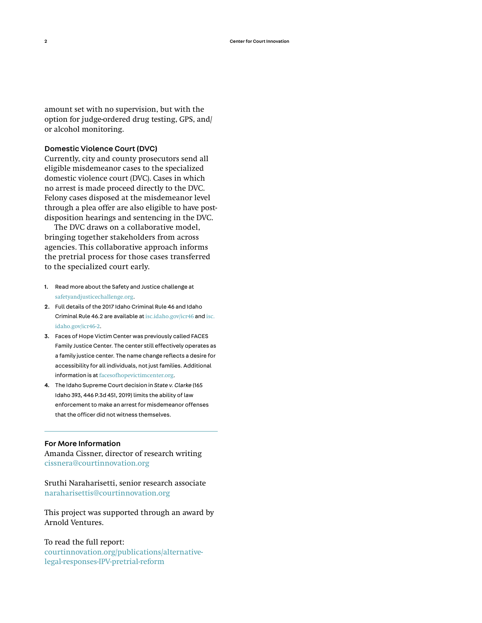amount set with no supervision, but with the option for judge-ordered drug testing, GPS, and/ or alcohol monitoring.

#### Domestic Violence Court (DVC)

Currently, city and county prosecutors send all eligible misdemeanor cases to the specialized domestic violence court (DVC). Cases in which no arrest is made proceed directly to the DVC. Felony cases disposed at the misdemeanor level through a plea offer are also eligible to have postdisposition hearings and sentencing in the DVC.

The DVC draws on a collaborative model, bringing together stakeholders from across agencies. This collaborative approach informs the pretrial process for those cases transferred to the specialized court early.

- 1. Read more about the Safety and Justice challenge at [safetyandjusticechallenge.org](http://safetyandjusticechallenge.org).
- 2. Full details of the 2017 Idaho Criminal Rule 46 and Idaho Criminal Rule 46.2 are available at [isc.idaho.gov/icr46](https://isc.idaho.gov/icr46) and [isc.](https://isc.idaho.gov/icr46-2) [idaho.gov/icr46-2](https://isc.idaho.gov/icr46-2).
- 3. Faces of Hope Victim Center was previously called FACES Family Justice Center. The center still effectively operates as a family justice center. The name change reflects a desire for accessibility for all individuals, not just families. Additional information is at [facesofhopevictimcenter.org.](https://www.facesofhopevictimcenter.org/)
- 4. The Idaho Supreme Court decision in *State v. Clarke* (165 Idaho 393, 446 P.3d 451, 2019) limits the ability of law enforcement to make an arrest for misdemeanor offenses that the officer did not witness themselves.

### For More Information

Amanda Cissner, director of research writing [cissnera@courtinnovation.org](mailto:cissnera%40courtinnovation.org?subject=RE%3A%20AV%20IVP)

Sruthi Naraharisetti, senior research associate [naraharisettis@courtinnovation.org](mailto:naraharisettis%40courtinnovation.org?subject=RE%3A%20AV%20IVP)

This project was supported through an award by Arnold Ventures.

To read the full report: [courtinnovation.org/publications/alternative](http://courtinnovation.org/publications/alternative-legal-responses-IPV-pretrial-reform)[legal-responses-IPV-pretrial-reform](http://courtinnovation.org/publications/alternative-legal-responses-IPV-pretrial-reform)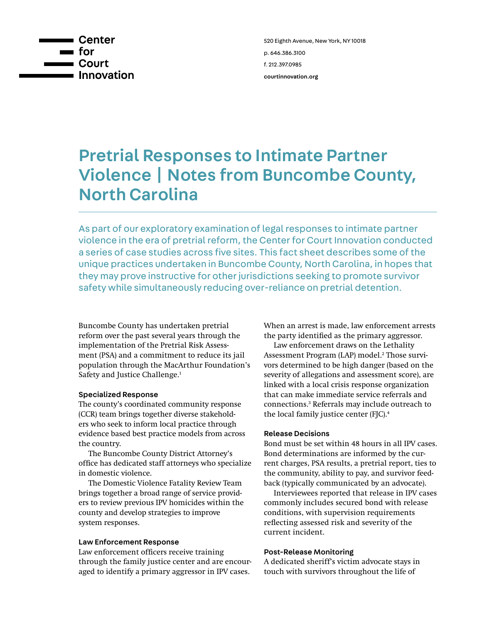

# Pretrial Responses to Intimate Partner Violence | Notes from Buncombe County, North Carolina

As part of our exploratory examination of legal responses to intimate partner violence in the era of pretrial reform, the Center for Court Innovation conducted a series of case studies across five sites. This fact sheet describes some of the unique practices undertaken in Buncombe County, North Carolina, in hopes that they may prove instructive for other jurisdictions seeking to promote survivor safety while simultaneously reducing over-reliance on pretrial detention.

Buncombe County has undertaken pretrial reform over the past several years through the implementation of the Pretrial Risk Assessment (PSA) and a commitment to reduce its jail population through the MacArthur Foundation's Safety and Justice Challenge.<sup>1</sup>

## Specialized Response

The county's coordinated community response (CCR) team brings together diverse stakeholders who seek to inform local practice through evidence based best practice models from across the country.

The Buncombe County District Attorney's office has dedicated staff attorneys who specialize in domestic violence.

The Domestic Violence Fatality Review Team brings together a broad range of service providers to review previous IPV homicides within the county and develop strategies to improve system responses.

### Law Enforcement Response

Law enforcement officers receive training through the family justice center and are encouraged to identify a primary aggressor in IPV cases.

When an arrest is made, law enforcement arrests the party identified as the primary aggressor.

Law enforcement draws on the Lethality Assessment Program (LAP) model.<sup>2</sup> Those survivors determined to be high danger (based on the severity of allegations and assessment score), are linked with a local crisis response organization that can make immediate service referrals and connections.3 Referrals may include outreach to the local family justice center (FJC).<sup>4</sup>

### Release Decisions

Bond must be set within 48 hours in all IPV cases. Bond determinations are informed by the current charges, PSA results, a pretrial report, ties to the community, ability to pay, and survivor feedback (typically communicated by an advocate).

Interviewees reported that release in IPV cases commonly includes secured bond with release conditions, with supervision requirements reflecting assessed risk and severity of the current incident.

## Post-Release Monitoring

A dedicated sheriff's victim advocate stays in touch with survivors throughout the life of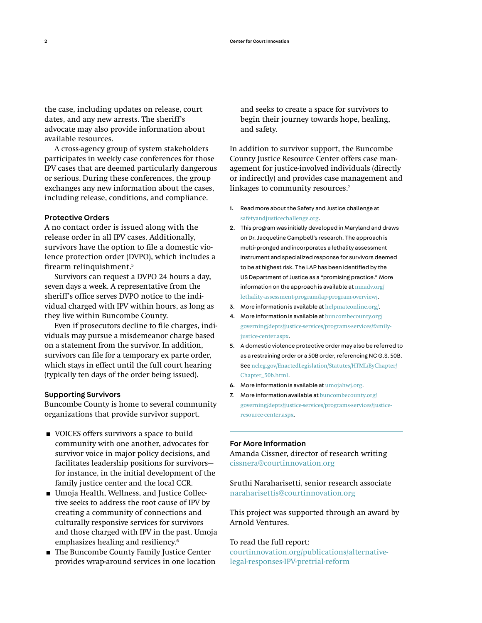the case, including updates on release, court dates, and any new arrests. The sheriff's advocate may also provide information about available resources.

A cross-agency group of system stakeholders participates in weekly case conferences for those IPV cases that are deemed particularly dangerous or serious. During these conferences, the group exchanges any new information about the cases, including release, conditions, and compliance.

#### Protective Orders

A no contact order is issued along with the release order in all IPV cases. Additionally, survivors have the option to file a domestic violence protection order (DVPO), which includes a firearm relinquishment.<sup>5</sup>

Survivors can request a DVPO 24 hours a day, seven days a week. A representative from the sheriff's office serves DVPO notice to the individual charged with IPV within hours, as long as they live within Buncombe County.

Even if prosecutors decline to file charges, individuals may pursue a misdemeanor charge based on a statement from the survivor. In addition, survivors can file for a temporary ex parte order, which stays in effect until the full court hearing (typically ten days of the order being issued).

#### Supporting Survivors

Buncombe County is home to several community organizations that provide survivor support.

- VOICES offers survivors a space to build community with one another, advocates for survivor voice in major policy decisions, and facilitates leadership positions for survivors for instance, in the initial development of the family justice center and the local CCR.
- **■** Umoja Health, Wellness, and Justice Collective seeks to address the root cause of IPV by creating a community of connections and culturally responsive services for survivors and those charged with IPV in the past. Umoja emphasizes healing and resiliency.<sup>6</sup>
- The Buncombe County Family Justice Center provides wrap-around services in one location

and seeks to create a space for survivors to begin their journey towards hope, healing, and safety.

In addition to survivor support, the Buncombe County Justice Resource Center offers case management for justice-involved individuals (directly or indirectly) and provides case management and linkages to community resources.7

- 1. Read more about the Safety and Justice challenge at [safetyandjusticechallenge.org](http://safetyandjusticechallenge.org).
- 2. This program was initially developed in Maryland and draws on Dr. Jacqueline Campbell's research. The approach is multi-pronged and incorporates a lethality assessment instrument and specialized response for survivors deemed to be at highest risk. The LAP has been identified by the US Department of Justice as a "promising practice." More information on the approach is available at [mnadv.org/](https://www.mnadv.org/ lethality-assessment-program/lap-program-overview/)  [lethality-assessment-program/lap-program-overview/](https://www.mnadv.org/ lethality-assessment-program/lap-program-overview/).
- 3. More information is available at [helpmateonline.org/](https://helpmateonline.org/).
- 4. More information is available at [buncombecounty.org/](https://www.buncombecounty.org/governing/depts/justice-services/programs-services/family-justice-center.aspx) [governing/depts/justice-services/programs-services/family](https://www.buncombecounty.org/governing/depts/justice-services/programs-services/family-justice-center.aspx)[justice-center.aspx](https://www.buncombecounty.org/governing/depts/justice-services/programs-services/family-justice-center.aspx).
- 5. A domestic violence protective order may also be referred to as a restraining order or a 50B order, referencing NC G.S. 50B. See [ncleg.gov/EnactedLegislation/Statutes/HTML/ByChapter/](https://www.ncleg.gov/EnactedLegislation/Statutes/HTML/ByChapter/Chapter_50b.html) [Chapter\\_50b.html](https://www.ncleg.gov/EnactedLegislation/Statutes/HTML/ByChapter/Chapter_50b.html).
- 6. More information is available at [umojahwj.org](https://www.umojahwj.org).
- 7. More information available at buncombecounty.org [governing/depts/justice-services/programs-services/justice](https://www.buncombecounty.org/governing/depts/justice-services/programs-services/justice-resource-center.aspx)[resource-center.aspx](https://www.buncombecounty.org/governing/depts/justice-services/programs-services/justice-resource-center.aspx).

#### For More Information

Amanda Cissner, director of research writing [cissnera@courtinnovation.org](mailto:cissnera%40courtinnovation.org?subject=RE%3A%20AV%20IVP)

Sruthi Naraharisetti, senior research associate [naraharisettis@courtinnovation.org](mailto:naraharisettis%40courtinnovation.org?subject=RE%3A%20AV%20IVP)

This project was supported through an award by Arnold Ventures.

To read the full report: [courtinnovation.org/publications/alternative](http://courtinnovation.org/publications/alternative-legal-responses-IPV-pretrial-reform)[legal-responses-IPV-pretrial-reform](http://courtinnovation.org/publications/alternative-legal-responses-IPV-pretrial-reform)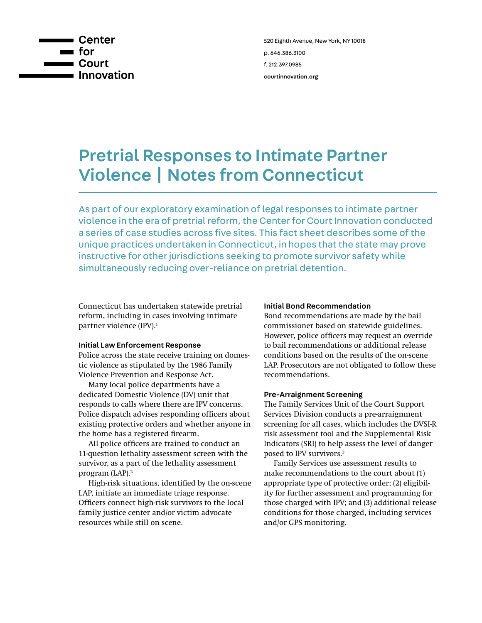

## Pretrial Responses to Intimate Partner Violence | Notes from Connecticut

As part of our exploratory examination of legal responses to intimate partner violence in the era of pretrial reform, the Center for Court Innovation conducted a series of case studies across five sites. This fact sheet describes some of the unique practices undertaken in Connecticut, in hopes that the state may prove instructive for other jurisdictions seeking to promote survivor safety while simultaneously reducing over-reliance on pretrial detention.

Connecticut has undertaken statewide pretrial reform, including in cases involving intimate partner violence (IPV).<sup>1</sup>

## Initial Law Enforcement Response

Police across the state receive training on domestic violence as stipulated by the 1986 Family Violence Prevention and Response Act.

Many local police departments have a dedicated Domestic Violence (DV) unit that responds to calls where there are IPV concerns. Police dispatch advises responding officers about existing protective orders and whether anyone in the home has a registered firearm.

All police officers are trained to conduct an 11-question lethality assessment screen with the survivor, as a part of the lethality assessment program (LAP).2

High-risk situations, identified by the on-scene LAP, initiate an immediate triage response. Officers connect high-risk survivors to the local family justice center and/or victim advocate resources while still on scene.

#### Initial Bond Recommendation

Bond recommendations are made by the bail commissioner based on statewide guidelines. However, police officers may request an override to bail recommendations or additional release conditions based on the results of the on-scene LAP. Prosecutors are not obligated to follow these recommendations.

#### Pre-Arraignment Screening

The Family Services Unit of the Court Support Services Division conducts a pre-arraignment screening for all cases, which includes the DVSI-R risk assessment tool and the Supplemental Risk Indicators (SRI) to help assess the level of danger posed to IPV survivors.3

Family Services use assessment results to make recommendations to the court about (1) appropriate type of protective order; (2) eligibility for further assessment and programming for those charged with IPV; and (3) additional release conditions for those charged, including services and/or GPS monitoring.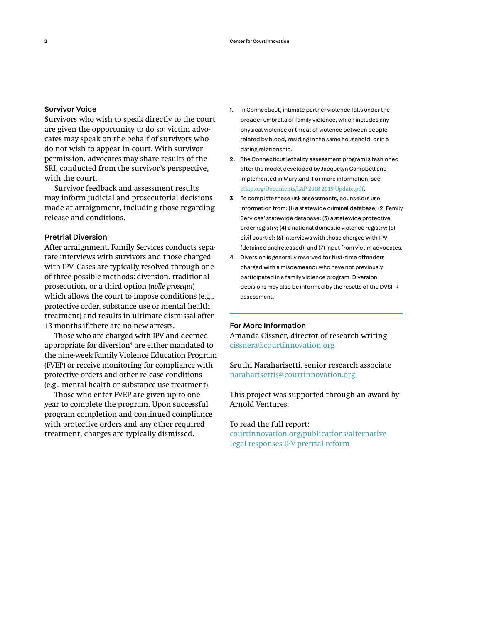## Survivor Voice

Survivors who wish to speak directly to the court are given the opportunity to do so; victim advocates may speak on the behalf of survivors who do not wish to appear in court. With survivor permission, advocates may share results of the SRI, conducted from the survivor's perspective, with the court.

Survivor feedback and assessment results may inform judicial and prosecutorial decisions made at arraignment, including those regarding release and conditions.

## Pretrial Diversion

After arraignment, Family Services conducts separate interviews with survivors and those charged with IPV. Cases are typically resolved through one of three possible methods: diversion, traditional prosecution, or a third option (*nolle prosequi*) which allows the court to impose conditions (e.g., protective order, substance use or mental health treatment) and results in ultimate dismissal after 13 months if there are no new arrests.

Those who are charged with IPV and deemed appropriate for diversion<sup>4</sup> are either mandated to the nine-week Family Violence Education Program (FVEP) or receive monitoring for compliance with protective orders and other release conditions (e.g., mental health or substance use treatment).

Those who enter FVEP are given up to one year to complete the program. Upon successful program completion and continued compliance with protective orders and any other required treatment, charges are typically dismissed.

- 1. In Connecticut, intimate partner violence falls under the broader umbrella of family violence, which includes any physical violence or threat of violence between people related by blood, residing in the same household, or in a dating relationship.
- 2. The Connecticut lethality assessment program is fashioned after the model developed by Jacquelyn Campbell and implemented in Maryland. For more information, see [ctlap.org/Documents/LAP-2018-2019-Update.pdf](http://ctlap.org/Documents/LAP-2018-2019-Update.pdf).
- 3. To complete these risk assessments, counselors use information from: (1) a statewide criminal database; (2) Family Services' statewide database; (3) a statewide protective order registry; (4) a national domestic violence registry; (5) civil court(s); (6) interviews with those charged with IPV (detained and released); and (7) input from victim advocates.
- 4. Diversion is generally reserved for first-time offenders charged with a misdemeanor who have not previously participated in a family violence program. Diversion decisions may also be informed by the results of the DVSI-R assessment.

#### For More Information

Amanda Cissner, director of research writing [cissnera@courtinnovation.org](mailto:cissnera%40courtinnovation.org?subject=RE%3A%20AV%20IVP)

Sruthi Naraharisetti, senior research associate [naraharisettis@courtinnovation.org](mailto:naraharisettis%40courtinnovation.org?subject=RE%3A%20AV%20IVP)

This project was supported through an award by Arnold Ventures.

## To read the full report:

[courtinnovation.org/publications/alternative](http://courtinnovation.org/publications/alternative-legal-responses-IPV-pretrial-reform)[legal-responses-IPV-pretrial-reform](http://courtinnovation.org/publications/alternative-legal-responses-IPV-pretrial-reform)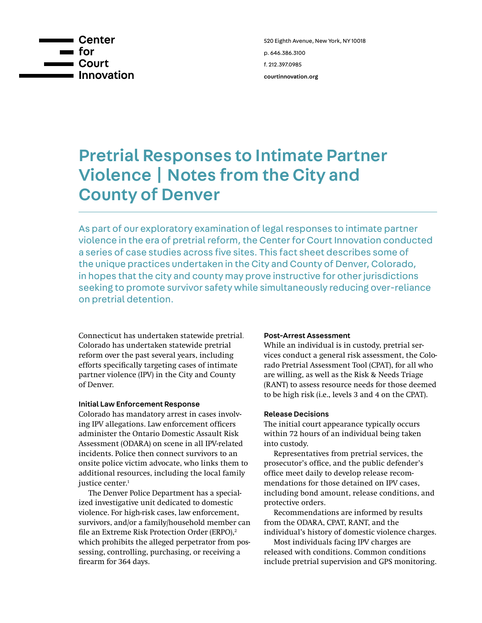

# Pretrial Responses to Intimate Partner Violence | Notes from the City and County of Denver

As part of our exploratory examination of legal responses to intimate partner violence in the era of pretrial reform, the Center for Court Innovation conducted a series of case studies across five sites. This fact sheet describes some of the unique practices undertaken in the City and County of Denver, Colorado, in hopes that the city and county may prove instructive for other jurisdictions seeking to promote survivor safety while simultaneously reducing over-reliance on pretrial detention.

Connecticut has undertaken statewide pretrial. Colorado has undertaken statewide pretrial reform over the past several years, including efforts specifically targeting cases of intimate partner violence (IPV) in the City and County of Denver.

### Initial Law Enforcement Response

Colorado has mandatory arrest in cases involving IPV allegations. Law enforcement officers administer the Ontario Domestic Assault Risk Assessment (ODARA) on scene in all IPV-related incidents. Police then connect survivors to an onsite police victim advocate, who links them to additional resources, including the local family justice center.<sup>1</sup>

The Denver Police Department has a specialized investigative unit dedicated to domestic violence. For high-risk cases, law enforcement, survivors, and/or a family/household member can file an Extreme Risk Protection Order (ERPO),<sup>2</sup> which prohibits the alleged perpetrator from possessing, controlling, purchasing, or receiving a firearm for 364 days.

#### Post-Arrest Assessment

While an individual is in custody, pretrial services conduct a general risk assessment, the Colorado Pretrial Assessment Tool (CPAT), for all who are willing, as well as the Risk & Needs Triage (RANT) to assess resource needs for those deemed to be high risk (i.e., levels 3 and 4 on the CPAT).

## Release Decisions

The initial court appearance typically occurs within 72 hours of an individual being taken into custody.

Representatives from pretrial services, the prosecutor's office, and the public defender's office meet daily to develop release recommendations for those detained on IPV cases, including bond amount, release conditions, and protective orders.

Recommendations are informed by results from the ODARA, CPAT, RANT, and the individual's history of domestic violence charges.

Most individuals facing IPV charges are released with conditions. Common conditions include pretrial supervision and GPS monitoring.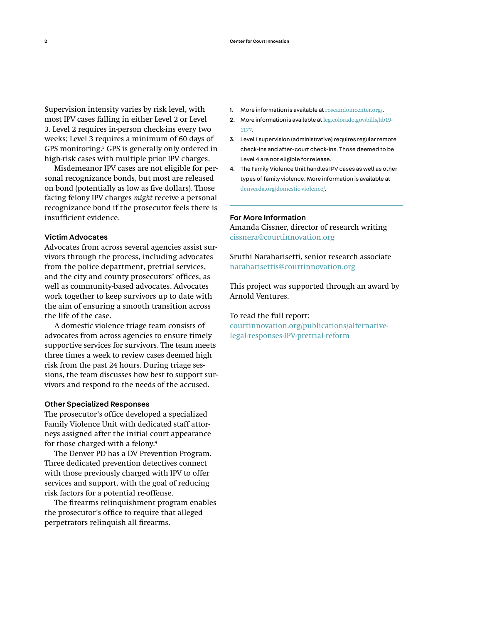Supervision intensity varies by risk level, with most IPV cases falling in either Level 2 or Level 3. Level 2 requires in-person check-ins every two weeks; Level 3 requires a minimum of 60 days of GPS monitoring.<sup>3</sup> GPS is generally only ordered in high-risk cases with multiple prior IPV charges.

Misdemeanor IPV cases are not eligible for personal recognizance bonds, but most are released on bond (potentially as low as five dollars). Those facing felony IPV charges *might* receive a personal recognizance bond if the prosecutor feels there is insufficient evidence.

### Victim Advocates

Advocates from across several agencies assist survivors through the process, including advocates from the police department, pretrial services, and the city and county prosecutors' offices, as well as community-based advocates. Advocates work together to keep survivors up to date with the aim of ensuring a smooth transition across the life of the case.

A domestic violence triage team consists of advocates from across agencies to ensure timely supportive services for survivors. The team meets three times a week to review cases deemed high risk from the past 24 hours. During triage sessions, the team discusses how best to support survivors and respond to the needs of the accused.

#### Other Specialized Responses

The prosecutor's office developed a specialized Family Violence Unit with dedicated staff attorneys assigned after the initial court appearance for those charged with a felony.<sup>4</sup>

The Denver PD has a DV Prevention Program. Three dedicated prevention detectives connect with those previously charged with IPV to offer services and support, with the goal of reducing risk factors for a potential re-offense.

The firearms relinquishment program enables the prosecutor's office to require that alleged perpetrators relinquish all firearms.

- 1. More information is available at [roseandomcenter.org/](https://roseandomcenter.org/).
- 2. More information is available at [leg.colorado.gov/bills/hb19-](https://leg.colorado.gov/bills/hb19-1177) [1177](https://leg.colorado.gov/bills/hb19-1177).
- 3. Level 1 supervision (administrative) requires regular remote check-ins and after-court check-ins. Those deemed to be Level 4 are not eligible for release.
- 4. The Family Violence Unit handles IPV cases as well as other types of family violence. More information is available at [denverda.org/domestic-violence/](https://www.denverda.org/domestic-violence/).

#### For More Information

Amanda Cissner, director of research writing [cissnera@courtinnovation.org](mailto:cissnera%40courtinnovation.org?subject=RE%3A%20AV%20IVP)

Sruthi Naraharisetti, senior research associate [naraharisettis@courtinnovation.org](mailto:naraharisettis%40courtinnovation.org?subject=RE%3A%20AV%20IVP)

This project was supported through an award by Arnold Ventures.

## To read the full report:

[courtinnovation.org/publications/alternative](http://courtinnovation.org/publications/alternative-legal-responses-IPV-pretrial-reform)[legal-responses-IPV-pretrial-reform](http://courtinnovation.org/publications/alternative-legal-responses-IPV-pretrial-reform)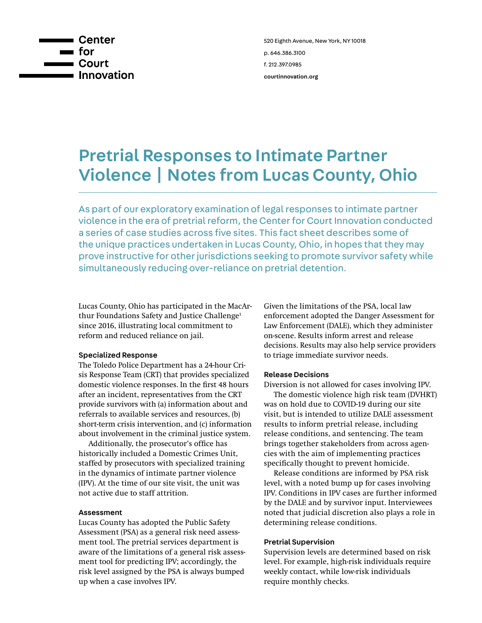

# Pretrial Responses to Intimate Partner Violence | Notes from Lucas County, Ohio

As part of our exploratory examination of legal responses to intimate partner violence in the era of pretrial reform, the Center for Court Innovation conducted a series of case studies across five sites. This fact sheet describes some of the unique practices undertaken in Lucas County, Ohio, in hopes that they may prove instructive for other jurisdictions seeking to promote survivor safety while simultaneously reducing over-reliance on pretrial detention.

Lucas County, Ohio has participated in the MacArthur Foundations Safety and Justice Challenge<sup>1</sup> since 2016, illustrating local commitment to reform and reduced reliance on jail.

## Specialized Response

The Toledo Police Department has a 24-hour Crisis Response Team (CRT) that provides specialized domestic violence responses. In the first 48 hours after an incident, representatives from the CRT provide survivors with (a) information about and referrals to available services and resources, (b) short-term crisis intervention, and (c) information about involvement in the criminal justice system.

Additionally, the prosecutor's office has historically included a Domestic Crimes Unit, staffed by prosecutors with specialized training in the dynamics of intimate partner violence (IPV). At the time of our site visit, the unit was not active due to staff attrition.

### Assessment

Lucas County has adopted the Public Safety Assessment (PSA) as a general risk need assessment tool. The pretrial services department is aware of the limitations of a general risk assessment tool for predicting IPV; accordingly, the risk level assigned by the PSA is always bumped up when a case involves IPV.

Given the limitations of the PSA, local law enforcement adopted the Danger Assessment for Law Enforcement (DALE), which they administer on-scene. Results inform arrest and release decisions. Results may also help service providers to triage immediate survivor needs.

## Release Decisions

Diversion is not allowed for cases involving IPV.

The domestic violence high risk team (DVHRT) was on hold due to COVID-19 during our site visit, but is intended to utilize DALE assessment results to inform pretrial release, including release conditions, and sentencing. The team brings together stakeholders from across agencies with the aim of implementing practices specifically thought to prevent homicide.

Release conditions are informed by PSA risk level, with a noted bump up for cases involving IPV. Conditions in IPV cases are further informed by the DALE and by survivor input. Interviewees noted that judicial discretion also plays a role in determining release conditions.

#### Pretrial Supervision

Supervision levels are determined based on risk level. For example, high-risk individuals require weekly contact, while low-risk individuals require monthly checks.